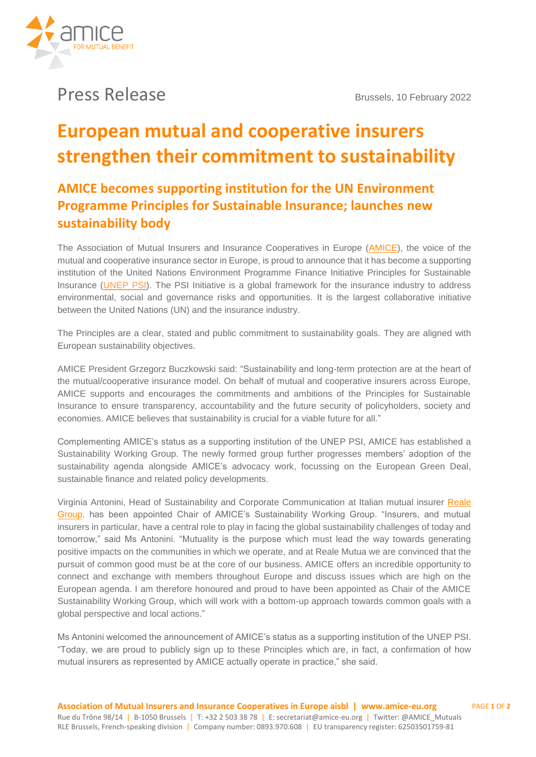

## **Press Release** Brussels, 10 February 2022

# **European mutual and cooperative insurers strengthen their commitment to sustainability**

### **AMICE becomes supporting institution for the UN Environment Programme Principles for Sustainable Insurance; launches new sustainability body**

The Association of Mutual Insurers and Insurance Cooperatives in Europe (**AMICE**), the voice of the mutual and cooperative insurance sector in Europe, is proud to announce that it has become a supporting institution of the United Nations Environment Programme Finance Initiative Principles for Sustainable Insurance [\(UNEP PSI\)](https://www.unepfi.org/psi/supporting-institutions/). The PSI Initiative is a global framework for the insurance industry to address environmental, social and governance risks and opportunities. It is the largest collaborative initiative between the United Nations (UN) and the insurance industry.

The Principles are a clear, stated and public commitment to sustainability goals. They are aligned with European sustainability objectives.

AMICE President Grzegorz Buczkowski said: "Sustainability and long-term protection are at the heart of the mutual/cooperative insurance model. On behalf of mutual and cooperative insurers across Europe, AMICE supports and encourages the commitments and ambitions of the Principles for Sustainable Insurance to ensure transparency, accountability and the future security of policyholders, society and economies. AMICE believes that sustainability is crucial for a viable future for all."

Complementing AMICE's status as a supporting institution of the UNEP PSI, AMICE has established a Sustainability Working Group. The newly formed group further progresses members' adoption of the sustainability agenda alongside AMICE's advocacy work, focussing on the European Green Deal, sustainable finance and related policy developments.

Virginia Antonini, Head of Sustainability and Corporate Communication at Italian mutual insurer [Reale](http://www.realegroup.eu/)  [Group,](http://www.realegroup.eu/) has been appointed Chair of AMICE's Sustainability Working Group. "Insurers, and mutual insurers in particular, have a central role to play in facing the global sustainability challenges of today and tomorrow," said Ms Antonini. "Mutuality is the purpose which must lead the way towards generating positive impacts on the communities in which we operate, and at Reale Mutua we are convinced that the pursuit of common good must be at the core of our business. AMICE offers an incredible opportunity to connect and exchange with members throughout Europe and discuss issues which are high on the European agenda. I am therefore honoured and proud to have been appointed as Chair of the AMICE Sustainability Working Group, which will work with a bottom-up approach towards common goals with a global perspective and local actions."

Ms Antonini welcomed the announcement of AMICE's status as a supporting institution of the UNEP PSI. "Today, we are proud to publicly sign up to these Principles which are, in fact, a confirmation of how mutual insurers as represented by AMICE actually operate in practice," she said.